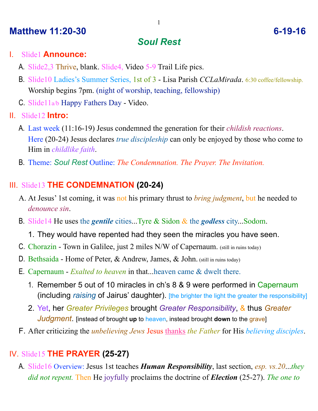### **Matthew 11:20-30** 6-19-16

# *Soul Rest*

#### I. Slide1 **Announce:**

- A. Slide2,3 Thrive, blank. Slide4, Video 5-9 Trail Life pics.
- B. Slide10 Ladies's Summer Series, 1st of 3 Lisa Parish *CCLaMirada*. 6:30 coffee/fellowship. Worship begins 7pm. (night of worship, teaching, fellowship)
- C. Slide11a/b Happy Fathers Day Video.
- II. Slide12 **Intro:**
	- A. Last week (11:16-19) Jesus condemned the generation for their *childish reactions*. Here (20-24) Jesus declares *true discipleship* can only be enjoyed by those who come to Him in *childlike faith*.
	- B. Theme: *Soul Rest* Outline: *The Condemnation. The Prayer. The Invitation.*

### III. Slide13 **THE CONDEMNATION (20-24)**

- A. At Jesus' 1st coming, it was not his primary thrust to *bring judgment*, but he needed to *denounce sin*.
- B. Slide14 He uses the *gentile* cities...Tyre & Sidon & the *godless* city...Sodom.
	- 1. They would have repented had they seen the miracles you have seen.
- C. Chorazin Town in Galilee, just 2 miles N/W of Capernaum. (still in ruins today)
- D. Bethsaida Home of Peter, & Andrew, James, & John. (still in ruins today)
- E. Capernaum *Exalted to heaven* in that...heaven came & dwelt there.
	- 1. Remember 5 out of 10 miracles in ch's 8 & 9 were performed in Capernaum (including *raising* of Jairus' daughter). [the brighter the light the greater the responsibility]
	- 2. Yet, her *Greater Privileges* brought *Greater Responsibility*, & thus *Greater Judgment*. [instead of brought **up** to heaven, instead brought **down** to the grave]
- F. After criticizing the *unbelieving Jews* Jesus thanks *the Father* for His *believing disciples*.

## IV. Slide15 **THE PRAYER (25-27)**

A. Slide16 Overview: Jesus 1st teaches *Human Responsibility*, last section, *esp. vs.20*...*they did not repent.* Then He joyfully proclaims the doctrine of *Election* (25-27). *The one to*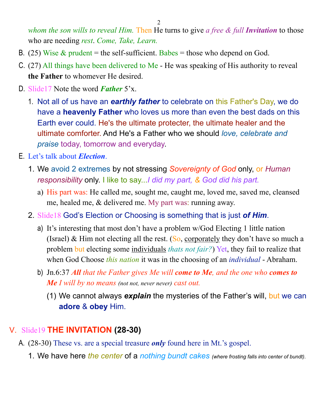*whom the son wills to reveal Him.* Then He turns to give *a free & full Invitation* to those who are needing *rest*. *Come, Take, Learn.*

- B. (25) Wise  $&$  prudent = the self-sufficient. Babes = those who depend on God.
- C. (27) All things have been delivered to Me He was speaking of His authority to reveal **the Father** to whomever He desired.
- D. Slide17 Note the word *Father* 5'x.
	- 1. Not all of us have an *earthly father* to celebrate on this Father's Day, we do have a **heavenly Father** who loves us more than even the best dads on this Earth ever could. He's the ultimate protecter, the ultimate healer and the ultimate comforter. And He's a Father who we should *love, celebrate and praise* today, tomorrow and everyday.
- E. Let's talk about *Election*.
	- 1. We avoid 2 extremes by not stressing *Sovereignty of God* only, or *Human responsibility* only. I like to say...*I did my part, & God did his part.*
		- a) His part was: He called me, sought me, caught me, loved me, saved me, cleansed me, healed me, & delivered me. My part was: running away.
	- 2. Slide18 God's Election or Choosing is something that is just *of Him*.
		- a) It's interesting that most don't have a problem w/God Electing 1 little nation (Israel) & Him not electing all the rest. (So, corporately they don't have so much a problem but electing some individuals *thats not fair?*) Yet, they fail to realize that when God Choose *this nation* it was in the choosing of an *individual* - Abraham.
		- b) Jn.6:37 *All that the Father gives Me will come to Me, and the one who comes to Me I will by no means (not not, never never) cast out.*
			- (1) We cannot always *explain* the mysteries of the Father's will, but we can **adore** & **obey** Him.

### V. Slide19 **THE INVITATION (28-30)**

- A. (28-30) These vs. are a special treasure *only* found here in Mt.'s gospel.
	- 1. We have here *the center* of a *nothing bundt cakes (where frosting falls into center of bundt)*.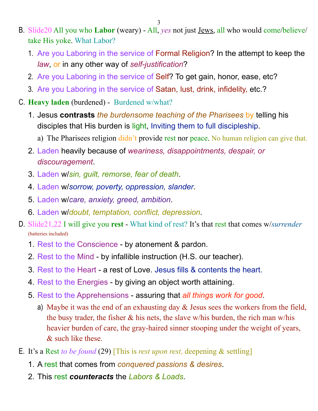- 3
- B. Slide20 All you who **Labor** (weary) All, *yes* not just Jews, all who would come/believe/ take His yoke. What Labor?
	- 1. Are you Laboring in the service of Formal Religion? In the attempt to keep the *law*, or in any other way of *self-justification*?
	- 2. Are you Laboring in the service of Self? To get gain, honor, ease, etc?
	- 3. Are you Laboring in the service of Satan, lust, drink, infidelity, etc.?
- C. **Heavy laden** (burdened) Burdened w/what?
	- 1. Jesus **contrasts** *the burdensome teaching of the Pharisees* by telling his disciples that His burden is light, Inviting them to full discipleship.
		- a) The Pharisees religion didn't provide rest nor peace. No human religion can give that.
	- 2. Laden heavily because of *weariness, disappointments, despair, or discouragement*.
	- 3. Laden w/*sin, guilt, remorse, fear of death*.
	- 4. Laden w/*sorrow, poverty, oppression, slander*.
	- 5. Laden w/*care, anxiety, greed, ambition*.
	- 6. Laden w/*doubt, temptation, conflict, depression*.
- D. Slide21,22 I will give you **rest** What kind of rest? It's that rest that comes w/*surrender*  (batteries included)
	- 1. Rest to the Conscience by atonement & pardon.
	- 2. Rest to the Mind by infallible instruction (H.S. our teacher).
	- 3. Rest to the Heart a rest of Love. Jesus fills & contents the heart.
	- 4. Rest to the Energies by giving an object worth attaining.
	- 5. Rest to the Apprehensions assuring that *all things work for good*.
		- a) Maybe it was the end of an exhausting day & Jesus sees the workers from the field, the busy trader, the fisher  $\&$  his nets, the slave w/his burden, the rich man w/his heavier burden of care, the gray-haired sinner stooping under the weight of years, & such like these.
- E. It's a Rest *to be found* (29) [This is *rest upon rest*, deepening & settling]
	- 1. A rest that comes from *conquered passions & desires*.
	- 2. This rest *counteracts* the *Labors & Loads*.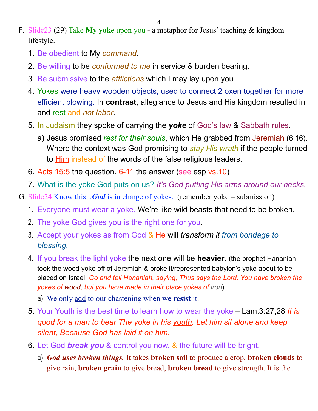4

- F. Slide23 (29) Take **My yoke** upon you a metaphor for Jesus' teaching & kingdom lifestyle.
	- 1. Be obedient to My *command*.
	- 2. Be willing to be *conformed to me* in service & burden bearing.
	- 3. Be submissive to the *afflictions* which I may lay upon you.
	- 4. Yokes were heavy wooden objects, used to connect 2 oxen together for more efficient plowing. In **contrast**, allegiance to Jesus and His kingdom resulted in and rest and *not labor*.
	- 5. In Judaism they spoke of carrying the *yoke* of God's law & Sabbath rules.
		- a) Jesus promised *rest for their souls*, which He grabbed from Jeremiah (6:16). Where the context was God promising to *stay His wrath* if the people turned to **Him instead of the words of the false religious leaders.**
	- 6. Acts 15:5 the question. 6-11 the answer (see esp vs.10)
	- 7. What is the yoke God puts on us? *It's God putting His arms around our necks.*
- G. Slide24 Know this...*God* is in charge of yokes. (remember yoke = submission)
	- 1. Everyone must wear a yoke. We're like wild beasts that need to be broken.
	- 2. The yoke God gives you is the right one for you.
	- 3. Accept your yokes as from God & He will *transform it from bondage to blessing.*
	- 4. If you break the light yoke the next one will be **heavier**. (the prophet Hananiah took the wood yoke off of Jeremiah & broke it/represented babylon's yoke about to be placed on Israel. *Go and tell Hananiah, saying, Thus says the Lord: You have broken the yokes of wood, but you have made in their place yokes of iron*)
		- a) We only add to our chastening when we **resist** it.
	- 5. Your Youth is the best time to learn how to wear the yoke Lam.3:27,28 *It is good for a man to bear The yoke in his youth. Let him sit alone and keep silent, Because God has laid it on him.*
	- 6. Let God *break you* & control you now, & the future will be bright.
		- a) *God uses broken things.* It takes **broken soil** to produce a crop, **broken clouds** to give rain, **broken grain** to give bread, **broken bread** to give strength. It is the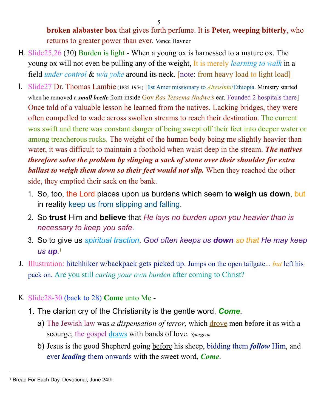**broken alabaster box** that gives forth perfume. It is **Peter, weeping bitterly**, who returns to greater power than ever. Vance Havner

- H. Slide25,26 (30) Burden is light When a young ox is harnessed to a mature ox. The young ox will not even be pulling any of the weight, It is merely *learning to walk* in a field *under control* & *w/a yoke* around its neck. [note: from heavy load to light load]
- I. Slide27 Dr. Thomas Lambie (1885-1954) [**1st** Amer missionary to *Abyssinia*/Ethiopia. Ministry started when he removed a *small beetle* from inside Gov *Ras Tessema Nadwe's* ear. Founded 2 hospitals there] Once told of a valuable lesson he learned from the natives. Lacking bridges, they were often compelled to wade across swollen streams to reach their destination. The current was swift and there was constant danger of being swept off their feet into deeper water or among treacherous rocks. The weight of the human body being me slightly heavier than water, it was difficult to maintain a foothold when waist deep in the stream. *The natives therefore solve the problem by slinging a sack of stone over their shoulder for extra ballast to weigh them down so their feet would not slip.* When they reached the other side, they emptied their sack on the bank.
	- 1. So, too, the Lord places upon us burdens which seem t**o weigh us down**, but in reality keep us from slipping and falling.
	- 2. So **trust** Him and **believe** that *He lays no burden upon you heavier than is necessary to keep you safe.*
	- 3. So to give us *spiritual traction*, *God often keeps us down so that He may keep us up.* [1](#page-4-0)
- J. Illustration: hitchhiker w/backpack gets picked up. Jumps on the open tailgate... *but* left his pack on. Are you still *caring your own burden* after coming to Christ?
- K. Slide28-30 (back to 28) **Come** unto Me
	- 1. The clarion cry of the Christianity is the gentle word, *Come*.
		- a) The Jewish law was *a dispensation of terror*, which drove men before it as with a scourge; the gospel draws with bands of love. *Spurgeon*
		- b) Jesus is the good Shepherd going before his sheep, bidding them *follow* Him, and ever *leading* them onwards with the sweet word, *Come*.

<span id="page-4-0"></span><sup>1</sup> Bread For Each Day, Devotional, June 24th.